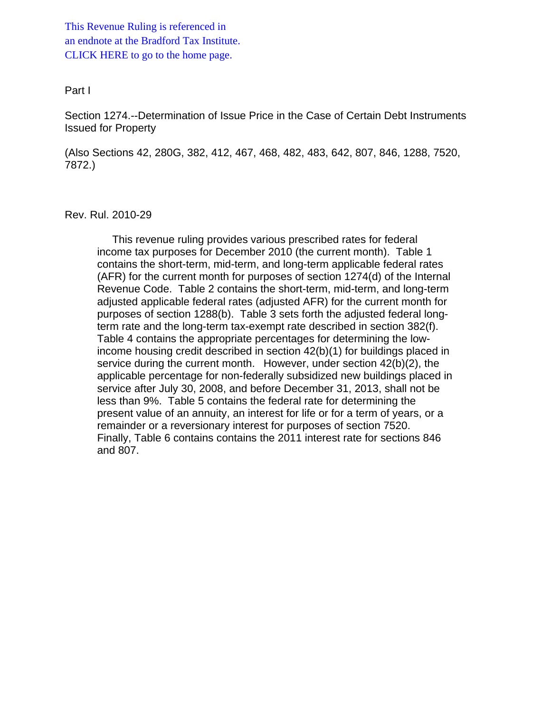This Revenue Ruling is referenced in [an endnote at the Bradford Tax Institute.](http://bradfordtaxinstitute.com/index1.aspx)  CLICK HERE to go to the home page.

#### Part I

Section 1274.--Determination of Issue Price in the Case of Certain Debt Instruments Issued for Property

(Also Sections 42, 280G, 382, 412, 467, 468, 482, 483, 642, 807, 846, 1288, 7520, 7872.)

#### Rev. Rul. 2010-29

 This revenue ruling provides various prescribed rates for federal income tax purposes for December 2010 (the current month). Table 1 contains the short-term, mid-term, and long-term applicable federal rates (AFR) for the current month for purposes of section 1274(d) of the Internal Revenue Code. Table 2 contains the short-term, mid-term, and long-term adjusted applicable federal rates (adjusted AFR) for the current month for purposes of section 1288(b). Table 3 sets forth the adjusted federal longterm rate and the long-term tax-exempt rate described in section 382(f). Table 4 contains the appropriate percentages for determining the lowincome housing credit described in section 42(b)(1) for buildings placed in service during the current month. However, under section 42(b)(2), the applicable percentage for non-federally subsidized new buildings placed in service after July 30, 2008, and before December 31, 2013, shall not be less than 9%. Table 5 contains the federal rate for determining the present value of an annuity, an interest for life or for a term of years, or a remainder or a reversionary interest for purposes of section 7520. Finally, Table 6 contains contains the 2011 interest rate for sections 846 and 807.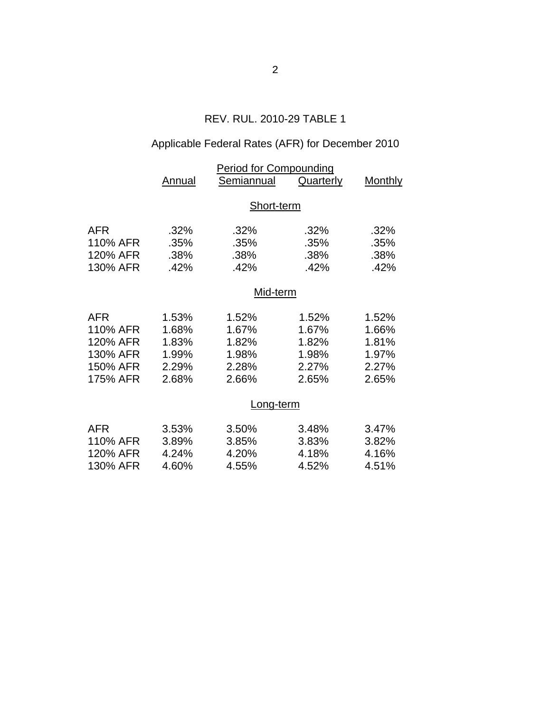## REV. RUL. 2010-29 TABLE 1

# Applicable Federal Rates (AFR) for December 2010

|                                                                        | <b>Period for Compounding</b>                      |                                                                 |                                                    |                                                    |  |  |
|------------------------------------------------------------------------|----------------------------------------------------|-----------------------------------------------------------------|----------------------------------------------------|----------------------------------------------------|--|--|
|                                                                        | Annual                                             | Semiannual                                                      | Quarterly                                          | <b>Monthly</b>                                     |  |  |
|                                                                        | Short-term                                         |                                                                 |                                                    |                                                    |  |  |
| <b>AFR</b><br>110% AFR<br>120% AFR<br>130% AFR                         | .32%<br>.35%<br>.38%<br>.42%                       | .32%<br>.35%<br>.38%<br>.42%                                    | .32%<br>.35%<br>.38%<br>.42%                       | .32%<br>.35%<br>.38%<br>.42%                       |  |  |
|                                                                        | Mid-term                                           |                                                                 |                                                    |                                                    |  |  |
| <b>AFR</b><br>110% AFR<br>120% AFR<br>130% AFR<br>150% AFR<br>175% AFR | 1.53%<br>1.68%<br>1.83%<br>1.99%<br>2.29%<br>2.68% | 1.52%<br>1.67%<br>1.82%<br>1.98%<br>2.28%<br>2.66%<br>Long-term | 1.52%<br>1.67%<br>1.82%<br>1.98%<br>2.27%<br>2.65% | 1.52%<br>1.66%<br>1.81%<br>1.97%<br>2.27%<br>2.65% |  |  |
| <b>AFR</b><br>110% AFR<br>120% AFR<br>130% AFR                         | 3.53%<br>3.89%<br>4.24%<br>4.60%                   | 3.50%<br>3.85%<br>4.20%<br>4.55%                                | 3.48%<br>3.83%<br>4.18%<br>4.52%                   | 3.47%<br>3.82%<br>4.16%<br>4.51%                   |  |  |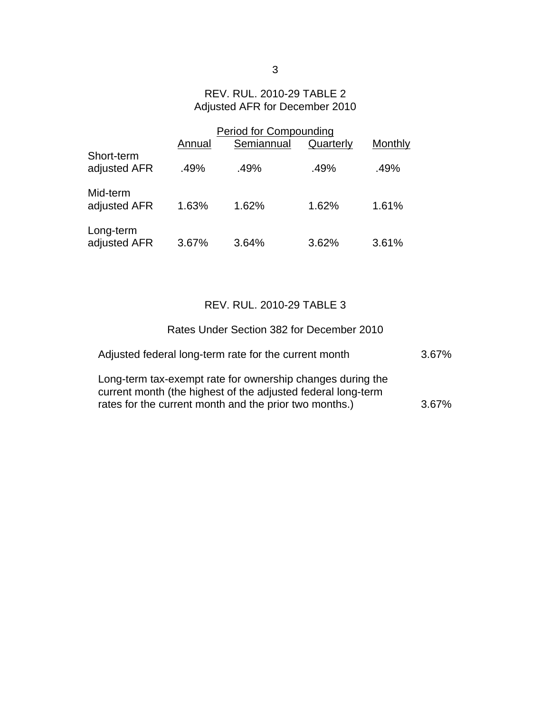## REV. RUL. 2010-29 TABLE 2 Adjusted AFR for December 2010

|                            | <b>Period for Compounding</b> |            |           |         |  |
|----------------------------|-------------------------------|------------|-----------|---------|--|
|                            | Annual                        | Semiannual | Quarterly | Monthly |  |
| Short-term<br>adjusted AFR | .49%                          | .49%       | .49%      | .49%    |  |
| Mid-term<br>adjusted AFR   | 1.63%                         | 1.62%      | 1.62%     | 1.61%   |  |
| Long-term<br>adjusted AFR  | 3.67%                         | 3.64%      | 3.62%     | 3.61%   |  |

# REV. RUL. 2010-29 TABLE 3

| Rates Under Section 382 for December 2010                                                                                                                                            |          |
|--------------------------------------------------------------------------------------------------------------------------------------------------------------------------------------|----------|
| Adjusted federal long-term rate for the current month                                                                                                                                | $3.67\%$ |
| Long-term tax-exempt rate for ownership changes during the<br>current month (the highest of the adjusted federal long-term<br>rates for the current month and the prior two months.) | $3.67\%$ |